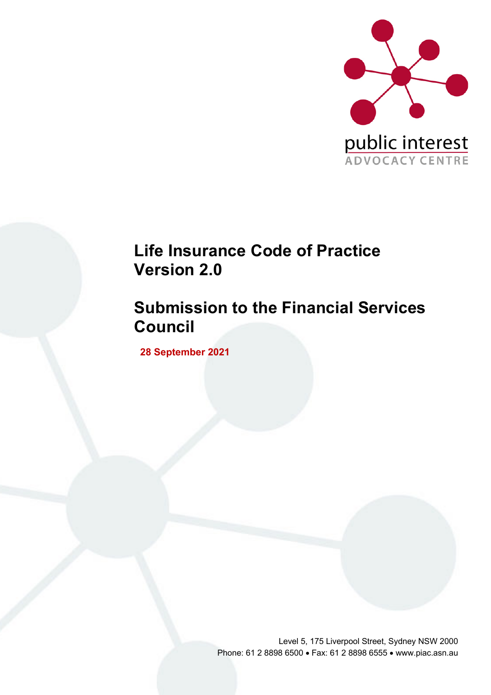

# **Life Insurance Code of Practice Version 2.0**

# **Submission to the Financial Services Council**

**28 September 2021**

Level 5, 175 Liverpool Street, Sydney NSW 2000 Phone: 61 2 8898 6500 • Fax: 61 2 8898 6555 • www.piac.asn.au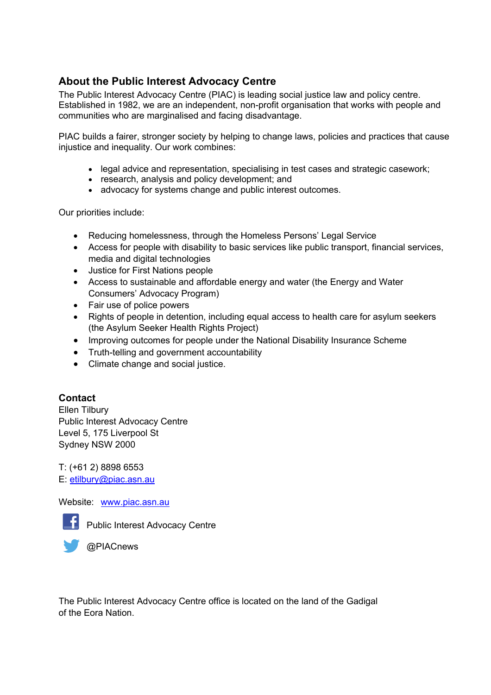#### **About the Public Interest Advocacy Centre**

The Public Interest Advocacy Centre (PIAC) is leading social justice law and policy centre. Established in 1982, we are an independent, non-profit organisation that works with people and communities who are marginalised and facing disadvantage.

PIAC builds a fairer, stronger society by helping to change laws, policies and practices that cause injustice and inequality. Our work combines:

- legal advice and representation, specialising in test cases and strategic casework;
- research, analysis and policy development; and
- advocacy for systems change and public interest outcomes.

Our priorities include:

- Reducing homelessness, through the Homeless Persons' Legal Service
- Access for people with disability to basic services like public transport, financial services, media and digital technologies
- Justice for First Nations people
- Access to sustainable and affordable energy and water (the Energy and Water Consumers' Advocacy Program)
- Fair use of police powers
- Rights of people in detention, including equal access to health care for asylum seekers (the Asylum Seeker Health Rights Project)
- Improving outcomes for people under the National Disability Insurance Scheme
- Truth-telling and government accountability
- Climate change and social justice.

#### **Contact**

Ellen Tilbury Public Interest Advocacy Centre Level 5, 175 Liverpool St Sydney NSW 2000

T: (+61 2) 8898 6553 E: etilbury@piac.asn.au

Website: www.piac.asn.au



Public Interest Advocacy Centre

**@PIACnews** 

The Public Interest Advocacy Centre office is located on the land of the Gadigal of the Eora Nation.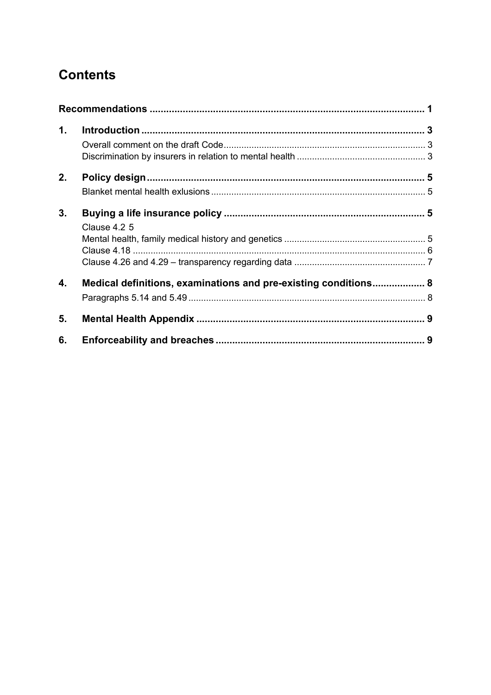## **Contents**

| 1. |                                                                 |  |
|----|-----------------------------------------------------------------|--|
|    |                                                                 |  |
|    |                                                                 |  |
| 2. |                                                                 |  |
|    |                                                                 |  |
| 3. |                                                                 |  |
|    | Clause 4.2 5                                                    |  |
|    |                                                                 |  |
|    |                                                                 |  |
|    |                                                                 |  |
| 4. | Medical definitions, examinations and pre-existing conditions 8 |  |
|    |                                                                 |  |
| 5. |                                                                 |  |
| 6. |                                                                 |  |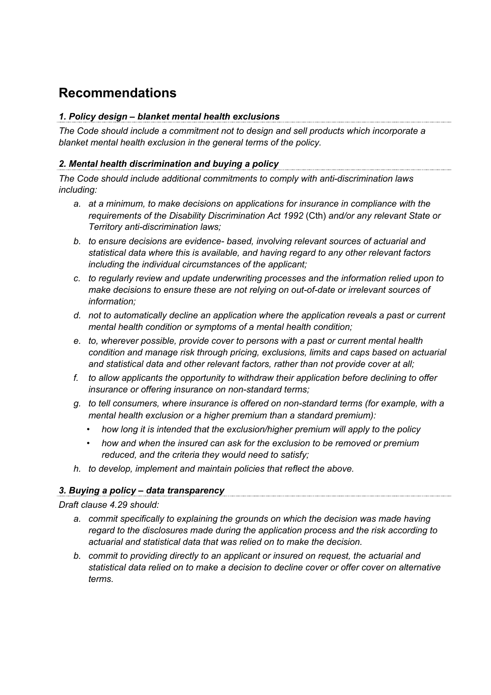## **Recommendations**

### *1. Policy design – blanket mental health exclusions*

*The Code should include a commitment not to design and sell products which incorporate a blanket mental health exclusion in the general terms of the policy.*

### *2. Mental health discrimination and buying a policy*

*The Code should include additional commitments to comply with anti-discrimination laws including:*

- *a. at a minimum, to make decisions on applications for insurance in compliance with the requirements of the Disability Discrimination Act 1992* (Cth) *and/or any relevant State or Territory anti-discrimination laws;*
- *b. to ensure decisions are evidence- based, involving relevant sources of actuarial and statistical data where this is available, and having regard to any other relevant factors including the individual circumstances of the applicant;*
- *c. to regularly review and update underwriting processes and the information relied upon to make decisions to ensure these are not relying on out-of-date or irrelevant sources of information;*
- *d. not to automatically decline an application where the application reveals a past or current mental health condition or symptoms of a mental health condition;*
- *e. to, wherever possible, provide cover to persons with a past or current mental health condition and manage risk through pricing, exclusions, limits and caps based on actuarial and statistical data and other relevant factors, rather than not provide cover at all;*
- *f. to allow applicants the opportunity to withdraw their application before declining to offer insurance or offering insurance on non-standard terms;*
- *g. to tell consumers, where insurance is offered on non-standard terms (for example, with a mental health exclusion or a higher premium than a standard premium):*
	- *how long it is intended that the exclusion/higher premium will apply to the policy*
	- *how and when the insured can ask for the exclusion to be removed or premium reduced, and the criteria they would need to satisfy;*
- *h. to develop, implement and maintain policies that reflect the above.*

### *3. Buying a policy – data transparency*

*Draft clause 4.29 should:*

- *a. commit specifically to explaining the grounds on which the decision was made having regard to the disclosures made during the application process and the risk according to actuarial and statistical data that was relied on to make the decision.*
- *b. commit to providing directly to an applicant or insured on request, the actuarial and statistical data relied on to make a decision to decline cover or offer cover on alternative terms.*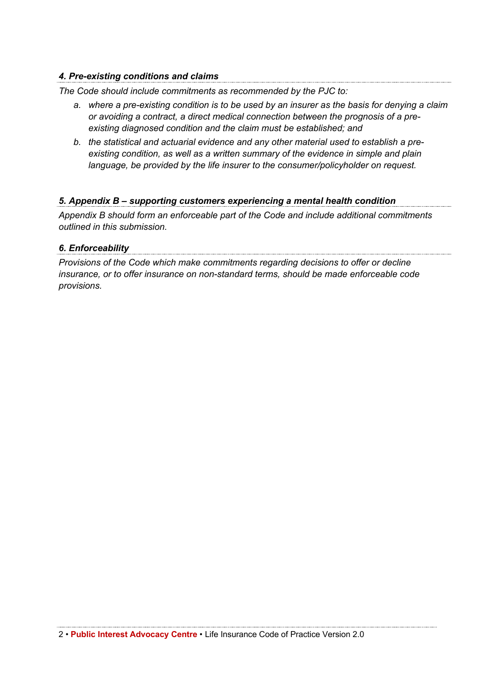### *4. Pre-existing conditions and claims*

*The Code should include commitments as recommended by the PJC to:* 

- *a. where a pre-existing condition is to be used by an insurer as the basis for denying a claim or avoiding a contract, a direct medical connection between the prognosis of a preexisting diagnosed condition and the claim must be established; and*
- *b. the statistical and actuarial evidence and any other material used to establish a preexisting condition, as well as a written summary of the evidence in simple and plain language, be provided by the life insurer to the consumer/policyholder on request.*

#### *5. Appendix B – supporting customers experiencing a mental health condition*

*Appendix B should form an enforceable part of the Code and include additional commitments outlined in this submission.*

## *6. Enforceability*

*Provisions of the Code which make commitments regarding decisions to offer or decline insurance, or to offer insurance on non-standard terms, should be made enforceable code provisions.*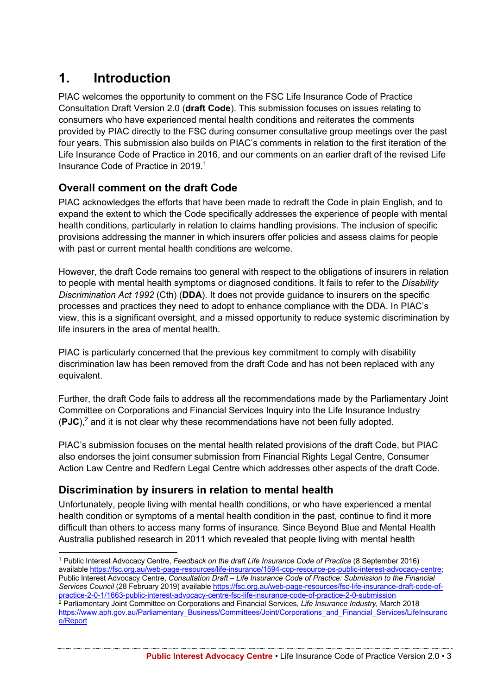## **1. Introduction**

PIAC welcomes the opportunity to comment on the FSC Life Insurance Code of Practice Consultation Draft Version 2.0 (**draft Code**). This submission focuses on issues relating to consumers who have experienced mental health conditions and reiterates the comments provided by PIAC directly to the FSC during consumer consultative group meetings over the past four years. This submission also builds on PIAC's comments in relation to the first iteration of the Life Insurance Code of Practice in 2016, and our comments on an earlier draft of the revised Life Insurance Code of Practice in 2019.<sup>1</sup>

#### **Overall comment on the draft Code**

PIAC acknowledges the efforts that have been made to redraft the Code in plain English, and to expand the extent to which the Code specifically addresses the experience of people with mental health conditions, particularly in relation to claims handling provisions. The inclusion of specific provisions addressing the manner in which insurers offer policies and assess claims for people with past or current mental health conditions are welcome.

However, the draft Code remains too general with respect to the obligations of insurers in relation to people with mental health symptoms or diagnosed conditions. It fails to refer to the *Disability Discrimination Act 1992* (Cth) (**DDA**). It does not provide guidance to insurers on the specific processes and practices they need to adopt to enhance compliance with the DDA. In PIAC's view, this is a significant oversight, and a missed opportunity to reduce systemic discrimination by life insurers in the area of mental health.

PIAC is particularly concerned that the previous key commitment to comply with disability discrimination law has been removed from the draft Code and has not been replaced with any equivalent.

Further, the draft Code fails to address all the recommendations made by the Parliamentary Joint Committee on Corporations and Financial Services Inquiry into the Life Insurance Industry (**PJC**), <sup>2</sup> and it is not clear why these recommendations have not been fully adopted.

PIAC's submission focuses on the mental health related provisions of the draft Code, but PIAC also endorses the joint consumer submission from Financial Rights Legal Centre, Consumer Action Law Centre and Redfern Legal Centre which addresses other aspects of the draft Code.

#### **Discrimination by insurers in relation to mental health**

Unfortunately, people living with mental health conditions, or who have experienced a mental health condition or symptoms of a mental health condition in the past, continue to find it more difficult than others to access many forms of insurance. Since Beyond Blue and Mental Health Australia published research in 2011 which revealed that people living with mental health

<sup>1</sup> Public Interest Advocacy Centre, *Feedback on the draft Life Insurance Code of Practice* (8 September 2016) available https://fsc.org.au/web-page-resources/life-insurance/1594-cop-resource-ps-public-interest-advocacy-centre; Public Interest Advocacy Centre, *Consultation Draft – Life Insurance Code of Practice: Submission to the Financial Services Council* (28 February 2019) available https://fsc.org.au/web-page-resources/fsc-life-insurance-draft-code-ofpractice-2-0-1/1663-public-interest-advocacy-centre-fsc-life-insurance-code-of-practice-2-0-submission <sup>2</sup> Parliamentary Joint Committee on Corporations and Financial Services, *Life Insurance Industry,* March 2018 https://www.aph.gov.au/Parliamentary\_Business/Committees/Joint/Corporations\_and\_Financial\_Services/LifeInsuranc e/Report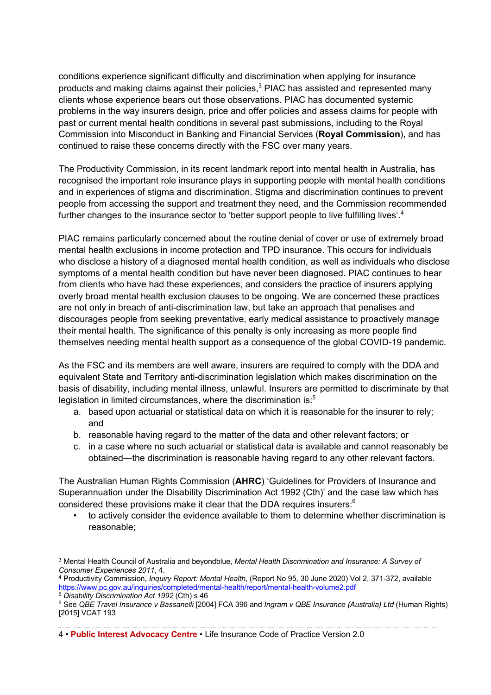conditions experience significant difficulty and discrimination when applying for insurance products and making claims against their policies,<sup>3</sup> PIAC has assisted and represented many clients whose experience bears out those observations. PIAC has documented systemic problems in the way insurers design, price and offer policies and assess claims for people with past or current mental health conditions in several past submissions, including to the Royal Commission into Misconduct in Banking and Financial Services (**Royal Commission**), and has continued to raise these concerns directly with the FSC over many years.

The Productivity Commission, in its recent landmark report into mental health in Australia, has recognised the important role insurance plays in supporting people with mental health conditions and in experiences of stigma and discrimination. Stigma and discrimination continues to prevent people from accessing the support and treatment they need, and the Commission recommended further changes to the insurance sector to 'better support people to live fulfilling lives'.<sup>4</sup>

PIAC remains particularly concerned about the routine denial of cover or use of extremely broad mental health exclusions in income protection and TPD insurance. This occurs for individuals who disclose a history of a diagnosed mental health condition, as well as individuals who disclose symptoms of a mental health condition but have never been diagnosed. PIAC continues to hear from clients who have had these experiences, and considers the practice of insurers applying overly broad mental health exclusion clauses to be ongoing. We are concerned these practices are not only in breach of anti-discrimination law, but take an approach that penalises and discourages people from seeking preventative, early medical assistance to proactively manage their mental health. The significance of this penalty is only increasing as more people find themselves needing mental health support as a consequence of the global COVID-19 pandemic.

As the FSC and its members are well aware, insurers are required to comply with the DDA and equivalent State and Territory anti-discrimination legislation which makes discrimination on the basis of disability, including mental illness, unlawful. Insurers are permitted to discriminate by that legislation in limited circumstances, where the discrimination is:<sup>5</sup>

- a. based upon actuarial or statistical data on which it is reasonable for the insurer to rely; and
- b. reasonable having regard to the matter of the data and other relevant factors; or
- c. in a case where no such actuarial or statistical data is available and cannot reasonably be obtained—the discrimination is reasonable having regard to any other relevant factors.

The Australian Human Rights Commission (**AHRC**) 'Guidelines for Providers of Insurance and Superannuation under the Disability Discrimination Act 1992 (Cth)' and the case law which has considered these provisions make it clear that the DDA requires insurers: $6$ 

• to actively consider the evidence available to them to determine whether discrimination is reasonable;

<sup>3</sup> Mental Health Council of Australia and beyondblue, *Mental Health Discrimination and Insurance: A Survey of Consumer Experiences 2011*, 4.

<sup>4</sup> Productivity Commission, *Inquiry Report: Mental Health*, (Report No 95, 30 June 2020) Vol 2, 371-372, available https://www.pc.gov.au/inquiries/completed/mental-health/report/mental-health-volume2.pdf <sup>5</sup> *Disability Discrimination Act 1992* (Cth) s 46

<sup>6</sup> See *QBE Travel Insurance v Bassanelli* [2004] FCA 396 and *Ingram v QBE Insurance (Australia) Ltd* (Human Rights) [2015] VCAT 193

<sup>4</sup> • **Public Interest Advocacy Centre** • Life Insurance Code of Practice Version 2.0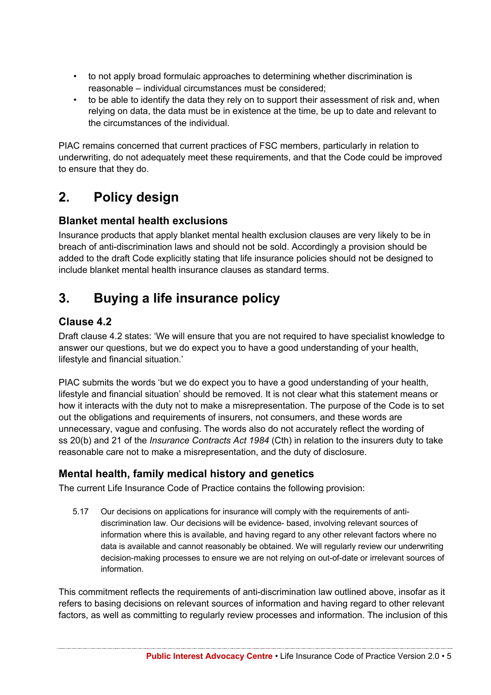- to not apply broad formulaic approaches to determining whether discrimination is reasonable – individual circumstances must be considered;
- to be able to identify the data they rely on to support their assessment of risk and, when relying on data, the data must be in existence at the time, be up to date and relevant to the circumstances of the individual.

PIAC remains concerned that current practices of FSC members, particularly in relation to underwriting, do not adequately meet these requirements, and that the Code could be improved to ensure that they do.

## **2. Policy design**

#### **Blanket mental health exclusions**

Insurance products that apply blanket mental health exclusion clauses are very likely to be in breach of anti-discrimination laws and should not be sold. Accordingly a provision should be added to the draft Code explicitly stating that life insurance policies should not be designed to include blanket mental health insurance clauses as standard terms.

## **3. Buying a life insurance policy**

### **Clause 4.2**

Draft clause 4.2 states: 'We will ensure that you are not required to have specialist knowledge to answer our questions, but we do expect you to have a good understanding of your health, lifestyle and financial situation.'

PIAC submits the words 'but we do expect you to have a good understanding of your health, lifestyle and financial situation' should be removed. It is not clear what this statement means or how it interacts with the duty not to make a misrepresentation. The purpose of the Code is to set out the obligations and requirements of insurers, not consumers, and these words are unnecessary, vague and confusing. The words also do not accurately reflect the wording of ss 20(b) and 21 of the *Insurance Contracts Act 1984* (Cth) in relation to the insurers duty to take reasonable care not to make a misrepresentation, and the duty of disclosure.

### **Mental health, family medical history and genetics**

The current Life Insurance Code of Practice contains the following provision:

5.17 Our decisions on applications for insurance will comply with the requirements of antidiscrimination law. Our decisions will be evidence- based, involving relevant sources of information where this is available, and having regard to any other relevant factors where no data is available and cannot reasonably be obtained. We will regularly review our underwriting decision-making processes to ensure we are not relying on out-of-date or irrelevant sources of information.

This commitment reflects the requirements of anti-discrimination law outlined above, insofar as it refers to basing decisions on relevant sources of information and having regard to other relevant factors, as well as committing to regularly review processes and information. The inclusion of this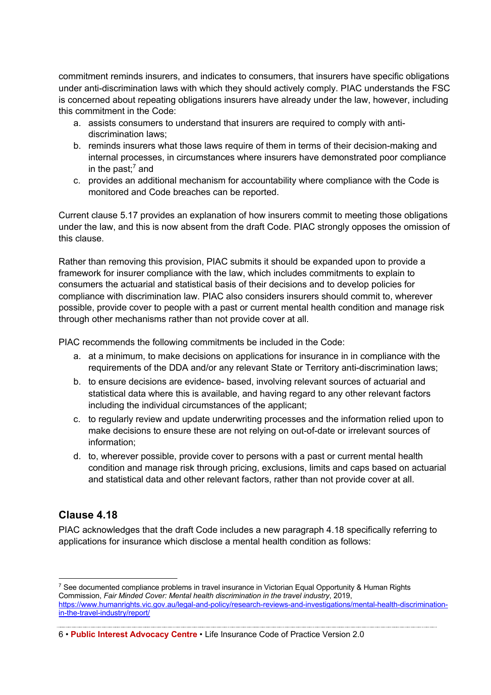commitment reminds insurers, and indicates to consumers, that insurers have specific obligations under anti-discrimination laws with which they should actively comply. PIAC understands the FSC is concerned about repeating obligations insurers have already under the law, however, including this commitment in the Code:

- a. assists consumers to understand that insurers are required to comply with antidiscrimination laws;
- b. reminds insurers what those laws require of them in terms of their decision-making and internal processes, in circumstances where insurers have demonstrated poor compliance in the past; <sup>7</sup> and
- c. provides an additional mechanism for accountability where compliance with the Code is monitored and Code breaches can be reported.

Current clause 5.17 provides an explanation of how insurers commit to meeting those obligations under the law, and this is now absent from the draft Code. PIAC strongly opposes the omission of this clause.

Rather than removing this provision, PIAC submits it should be expanded upon to provide a framework for insurer compliance with the law, which includes commitments to explain to consumers the actuarial and statistical basis of their decisions and to develop policies for compliance with discrimination law. PIAC also considers insurers should commit to, wherever possible, provide cover to people with a past or current mental health condition and manage risk through other mechanisms rather than not provide cover at all.

PIAC recommends the following commitments be included in the Code:

- a. at a minimum, to make decisions on applications for insurance in in compliance with the requirements of the DDA and/or any relevant State or Territory anti-discrimination laws;
- b. to ensure decisions are evidence- based, involving relevant sources of actuarial and statistical data where this is available, and having regard to any other relevant factors including the individual circumstances of the applicant;
- c. to regularly review and update underwriting processes and the information relied upon to make decisions to ensure these are not relying on out-of-date or irrelevant sources of information;
- d. to, wherever possible, provide cover to persons with a past or current mental health condition and manage risk through pricing, exclusions, limits and caps based on actuarial and statistical data and other relevant factors, rather than not provide cover at all.

#### **Clause 4.18**

PIAC acknowledges that the draft Code includes a new paragraph 4.18 specifically referring to applications for insurance which disclose a mental health condition as follows:

<sup>&</sup>lt;sup>7</sup> See documented compliance problems in travel insurance in Victorian Equal Opportunity & Human Rights Commission, *Fair Minded Cover: Mental health discrimination in the travel industry*, 2019, https://www.humanrights.vic.gov.au/legal-and-policy/research-reviews-and-investigations/mental-health-discriminationin-the-travel-industry/report/

<sup>6</sup> • **Public Interest Advocacy Centre** • Life Insurance Code of Practice Version 2.0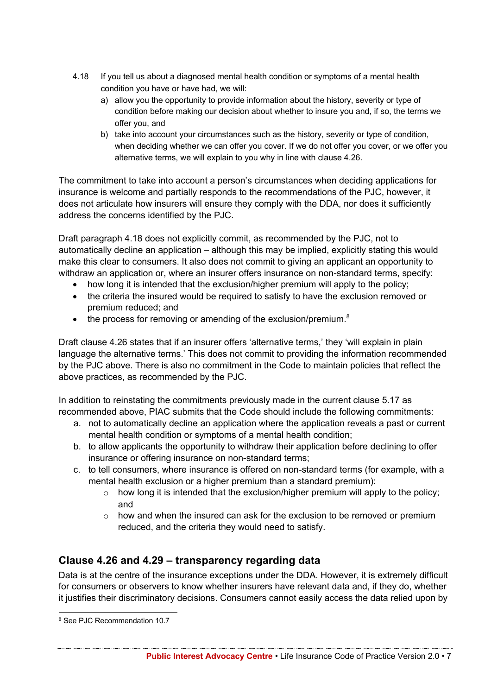- 4.18 If you tell us about a diagnosed mental health condition or symptoms of a mental health condition you have or have had, we will:
	- a) allow you the opportunity to provide information about the history, severity or type of condition before making our decision about whether to insure you and, if so, the terms we offer you, and
	- b) take into account your circumstances such as the history, severity or type of condition, when deciding whether we can offer you cover. If we do not offer you cover, or we offer you alternative terms, we will explain to you why in line with clause 4.26.

The commitment to take into account a person's circumstances when deciding applications for insurance is welcome and partially responds to the recommendations of the PJC, however, it does not articulate how insurers will ensure they comply with the DDA, nor does it sufficiently address the concerns identified by the PJC.

Draft paragraph 4.18 does not explicitly commit, as recommended by the PJC, not to automatically decline an application – although this may be implied, explicitly stating this would make this clear to consumers. It also does not commit to giving an applicant an opportunity to withdraw an application or, where an insurer offers insurance on non-standard terms, specify:

- how long it is intended that the exclusion/higher premium will apply to the policy;
- the criteria the insured would be required to satisfy to have the exclusion removed or premium reduced; and
- $\bullet$  the process for removing or amending of the exclusion/premium.<sup>8</sup>

Draft clause 4.26 states that if an insurer offers 'alternative terms,' they 'will explain in plain language the alternative terms.' This does not commit to providing the information recommended by the PJC above. There is also no commitment in the Code to maintain policies that reflect the above practices, as recommended by the PJC.

In addition to reinstating the commitments previously made in the current clause 5.17 as recommended above, PIAC submits that the Code should include the following commitments:

- a. not to automatically decline an application where the application reveals a past or current mental health condition or symptoms of a mental health condition;
- b. to allow applicants the opportunity to withdraw their application before declining to offer insurance or offering insurance on non-standard terms;
- c. to tell consumers, where insurance is offered on non-standard terms (for example, with a mental health exclusion or a higher premium than a standard premium):
	- $\circ$  how long it is intended that the exclusion/higher premium will apply to the policy; and
	- $\circ$  how and when the insured can ask for the exclusion to be removed or premium reduced, and the criteria they would need to satisfy.

### **Clause 4.26 and 4.29 – transparency regarding data**

Data is at the centre of the insurance exceptions under the DDA. However, it is extremely difficult for consumers or observers to know whether insurers have relevant data and, if they do, whether it justifies their discriminatory decisions. Consumers cannot easily access the data relied upon by

<sup>8</sup> See PJC Recommendation 10.7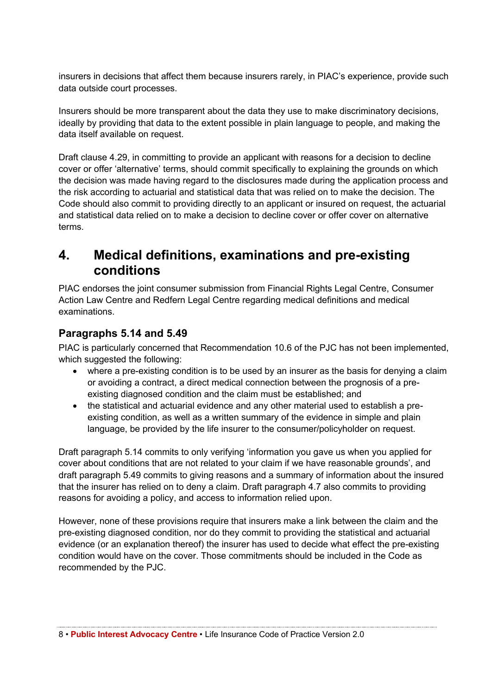insurers in decisions that affect them because insurers rarely, in PIAC's experience, provide such data outside court processes.

Insurers should be more transparent about the data they use to make discriminatory decisions, ideally by providing that data to the extent possible in plain language to people, and making the data itself available on request.

Draft clause 4.29, in committing to provide an applicant with reasons for a decision to decline cover or offer 'alternative' terms, should commit specifically to explaining the grounds on which the decision was made having regard to the disclosures made during the application process and the risk according to actuarial and statistical data that was relied on to make the decision. The Code should also commit to providing directly to an applicant or insured on request, the actuarial and statistical data relied on to make a decision to decline cover or offer cover on alternative terms.

### **4. Medical definitions, examinations and pre-existing conditions**

PIAC endorses the joint consumer submission from Financial Rights Legal Centre, Consumer Action Law Centre and Redfern Legal Centre regarding medical definitions and medical examinations.

#### **Paragraphs 5.14 and 5.49**

PIAC is particularly concerned that Recommendation 10.6 of the PJC has not been implemented, which suggested the following:

- where a pre-existing condition is to be used by an insurer as the basis for denying a claim or avoiding a contract, a direct medical connection between the prognosis of a preexisting diagnosed condition and the claim must be established; and
- the statistical and actuarial evidence and any other material used to establish a preexisting condition, as well as a written summary of the evidence in simple and plain language, be provided by the life insurer to the consumer/policyholder on request.

Draft paragraph 5.14 commits to only verifying 'information you gave us when you applied for cover about conditions that are not related to your claim if we have reasonable grounds', and draft paragraph 5.49 commits to giving reasons and a summary of information about the insured that the insurer has relied on to deny a claim. Draft paragraph 4.7 also commits to providing reasons for avoiding a policy, and access to information relied upon.

However, none of these provisions require that insurers make a link between the claim and the pre-existing diagnosed condition, nor do they commit to providing the statistical and actuarial evidence (or an explanation thereof) the insurer has used to decide what effect the pre-existing condition would have on the cover. Those commitments should be included in the Code as recommended by the PJC.

8 • **Public Interest Advocacy Centre** • Life Insurance Code of Practice Version 2.0